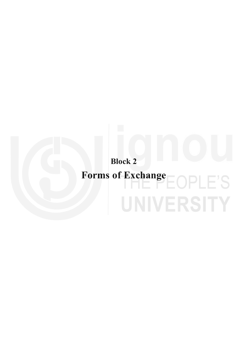# Block 2 Forms of Exchange COPLE'S UNIVERSITY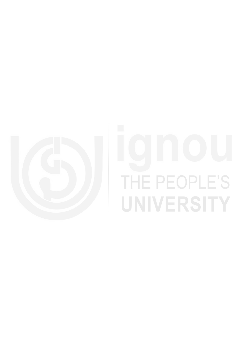

# THE PEOPLE'S UNIVERSITY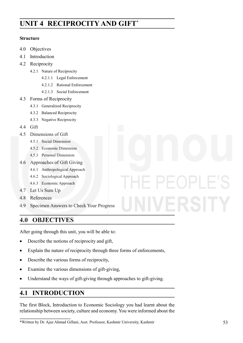# UNIT 4 RECIPROCITY AND GIFT\*

#### Structure

- 4.0 Objectives
- 4.1 Introduction
- 4.2 Reciprocity
	- 4.2.1 Nature of Reciprocity
		- 4.2.1.1 Legal Enforcement
		- 4.2.1.2 Rational Enforcement
		- 4.2.1.3 Social Enforcement
- 4.3 Forms of Reciprocity
	- 4.3.1 Generalized Reciprocity
	- 4.3.2 Balanced Reciprocity
	- 4.3.3 Negative Reciprocity
- 4.4 Gift
- 4.5 Dimensions of Gift
	- 4.5.1 Social Dimension
	- 4.5.2 Economic Dimension
	- 4.5.3 Personal Dimension
- 4.6 Approaches of Gift Giving
	- 4.6.1 Anthropological Approach
	- 4.6.2 Sociological Approach
	- 4.6.3 Economic Approach
- 4.7 Let Us Sum Up
- 4.8 References
- 4.9 Specimen Answers to Check Your Progress

# 4.0 OBJECTIVES

After going through this unit, you will be able to:

- Describe the notions of reciprocity and gift,
- Explain the nature of reciprocity through three forms of enforcements,
- Describe the various forms of reciprocity,
- Examine the various dimensions of gift-giving,
- Understand the ways of gift-giving through approaches to gift-giving.

# 4.1 INTRODUCTION

The first Block, Introduction to Economic Sociology you had learnt about the relationship between society, culture and economy. You were informed about the

#### \*Written by Dr. Ajaz Ahmad Gillani, Asst. Professor, Kashmir University, Kashmir

н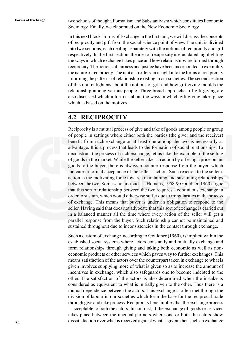Forms of Exchange two schools of thought. Formalism and Substantivism which constitutes Economic Sociology. Finally, we elaborated on the New Economic Sociology.

> In this next block-Forms of Exchange in the first unit, we will discuss the concepts of reciprocity and gift from the social science point of view. The unit is divided into two sections, each dealing separately with the notions of reciprocity and gift respectively. In the first section, the idea of reciprocity is elucidated highlighting the ways in which exchange takes place and how relationships are formed through reciprocity. The notions of fairness and justice have been incorporated to exemplify the nature of reciprocity. The unit also offers an insight into the forms of reciprocity informing the patterns of relationship existing in our societies. The second section of this unit enlightens about the notions of gift and how gift giving moulds the relationship among various people. Three broad approaches of gift-giving are also discussed which inform us about the ways in which gift giving takes place which is based on the motives.

### 4.2 RECIPROCITY

Reciprocity is a mutual process of give and take of goods among people or group of people in settings where either both the parties (the giver and the receiver) benefit from such exchange or at least one among the two is necessarily at advantage. It is a process that leads to the formation of social relationships. To deconstruct the process of such exchange, let us take the example of the selling of goods in the market. While the seller takes an action by offering a price on his goods to the buyer, there is always a counter response from the buyer, which indicates a formal acceptance of the seller's action. Such reaction to the seller's action is the motivating force towards maintaining and sustaining relationships between the two. Some scholars (such as Homans, 1958 & Gouldner, 1960) argue that this sort of relationship between the two requires a continuous exchange in order to sustain, which would otherwise suffer due to irregularities in the process of exchange. This means that buyer is under an obligation to respond to the seller. Having said that does not advocate that this sort of exchange is carried out in a balanced manner all the time where every action of the seller will get a parallel response from the buyer. Such relationship cannot be maintained and sustained throughout due to inconsistencies in the contact through exchange.

Such a custom of exchange, according to Gouldner (1960), is implicit within the established social systems where actors constantly and mutually exchange and form relationships through giving and taking both economic as well as noneconomic products or other services which paves way to further exchanges. This means satisfaction of the actors over the counterpart taken in exchange to what is given involves supplying more of what is given so as to increase the amount of incentives in exchange, which also safeguards one to become indebted to the other. The satisfaction of the actors is also determined when the in-take is considered as equivalent to what is initially given to the other. Thus there is a mutual dependence between the actors. This exchange is often met through the division of labour in our societies which form the base for the reciprocal trade through give and take process. Reciprocity here implies that the exchange process is acceptable to both the actors. In contrast, if the exchange of goods or services takes place between the unequal partners where one or both the actors show dissatisfaction over what is received against what is given, then such an exchange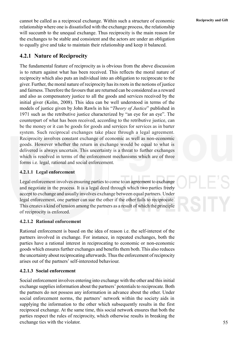cannot be called as a reciprocal exchange. Within such a structure of economic Reciprocity and Gift relationship where one is dissatisfied with the exchange process, the relationship will succumb to the unequal exchange. Thus reciprocity is the main reason for the exchanges to be stable and consistent and the actors are under an obligation to equally give and take to maintain their relationship and keep it balanced.

#### 4.2.1 Nature of Reciprocity

The fundamental feature of reciprocity as is obvious from the above discussion is to return against what has been received. This reflects the moral nature of reciprocity which also puts an individual into an obligation to reciprocate to the giver. Further, the moral nature of reciprocity has its roots in the notions of justice and fairness. Therefore the favours that are returned can be considered as a reward and also as compensatory justice to all the goods and services received by the initial giver (Kolm, 2008). This idea can be well understood in terms of the models of justice given by John Rawls in his "*Theory of Justice*" published in 1971 such as the retributive justice characterized by "an eye for an eye". The counterpart of what has been received, according to the retributive justice, can be the money or it can be goods for goods and services for services as in barter system. Such reciprocal exchanges take place through a legal agreement. Reciprocity involves constant exchange of economic as well as non-economic goods. However whether the return in exchange would be equal to what is delivered is always uncertain. This uncertainty is a threat to further exchanges which is resolved in terms of the enforcement mechanisms which are of three forms i.e. legal, rational and social enforcement.

#### 4.2.1.1 Legal enforcement

Legal enforcement involves ensuring parties to come to an agreement to exchange and negotiate in the process. It is a legal deed through which two parties freely accept to exchange and usually involves exchange between equal partners. Under legal enforcement, one partner can sue the other if the other fails to reciprocate. This creates a kind of tension among the partners as a result of which the principle of reciprocity is enforced.

#### 4.2.1.2 Rational enforcement

Rational enforcement is based on the idea of reason i.e. the self-interest of the partners involved in exchange. For instance, in repeated exchanges, both the parties have a rational interest in reciprocating to economic or non-economic goods which ensures further exchanges and benefits them both. This also reduces the uncertainty about reciprocating afterwards. Thus the enforcement of reciprocity arises out of the partners' self-interested behaviour.

#### 4.2.1.3 Social enforcement

Social enforcement involves entering into exchange with the other and this initial exchange supplies information about the partners' potentials to reciprocate. Both the partners do not possess any information in advance about the other. Under social enforcement norms, the partners' network within the society aids in supplying the information to the other which subsequently results in the first reciprocal exchange. At the same time, this social network ensures that both the parties respect the rules of reciprocity, which otherwise results in breaking the exchange ties with the violator.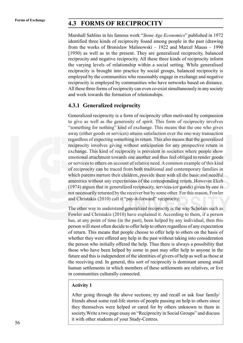# Forms of Exchange 4.3 FORMS OF RECIPROCITY

Marshall Sahlins in his famous work "*Stone Age Economics*" published in 1972 identified three kinds of reciprocity found among people in the past (drawing from the works of Bronislaw Malinowski – 1922 and Marcel Mauss – 1990 [1950) as well as in the present. They are generalized reciprocity, balanced reciprocity and negative reciprocity. All these three kinds of reciprocity inform the varying levels of relationship within a social setting. While generalised reciprocity is brought into practice by social groups, balanced reciprocity is employed by the communities who reasonably engage in exchange and negative reciprocity is employed by communities who have networks based on distance. All these three forms of reciprocity can even co-exist simultaneously in any society and work towards the formation of relationships.

#### 4.3.1 Generalized reciprocity

Generalized reciprocity is a form of reciprocity often motivated by compassion to give as well as the generosity of spirit. This form of reciprocity involves "something for nothing" kind of exchange. This means that the one who gives away (either goods or services) attains satisfaction over the one-way transaction regardless of expecting something in return. This also means that the generalized reciprocity involves giving without anticipation for any prospective return in exchange. This kind of reciprocity is prevalent in societies where people show emotional attachment towards one another and thus feel obliged to render goods or services to others on account of relative need. A common example of this kind of reciprocity can be traced from both traditional and contemporary families in which parents nurture their children, provide them with all the basic and needful amenities without any expectations of the corresponding return. However Ekeh (1974) argues that in generalized reciprocity, services (or goods) given by one is not necessarily returned by the receiver but by some other. For this reason, Fowler and Christakis (2010) call it "pay-it-forward" reciprocity.

The other way to understand generalized reciprocity is the way Scholars such as Fowler and Christakis (2010) have explained it. According to them, if a person has, at any point of time (in the past), been helped by any individual, then this person will most often decide to offer help to others regardless of any expectation of return. This means that people choose to offer help to others on the basis of whether they were offered any help in the past without taking into consideration the person who initially offered the help. Thus there is always a possibility that those who have been helped by some in past may offer help to anyone in the future and this is independent of the identities of givers of help as well as those at the receiving end. In general, this sort of reciprocity is dominant among small human settlements in which members of these settlements are relatives, or live in communities culturally connected.

#### Activity 1

After going through the above sections; try and recall or ask four family/ friends about some real-life stories of people passing on help to others since they themselves were helped or cared for by others unknown to them in society.Write a two page essay on "Reciprocity in Social Groups" and discuss it with other students of your Study-Centres.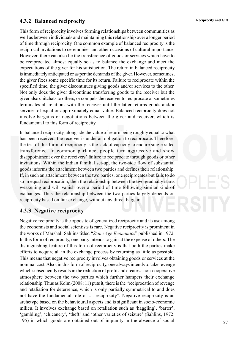#### **4.3.2 Balanced reciprocity** and Gift **AXALLET Reciprocity Reciprocity Reciprocity**

This form of reciprocity involves forming relationships between communities as well as between individuals and maintaining this relationship over a longer period of time through reciprocity. One common example of balanced reciprocity is the reciprocal invitations to ceremonies and other occasions of cultural importance. However, there can also be the transference of goods or services which have to be reciprocated almost equally so as to balance the exchange and meet the expectations of the giver for his satisfaction. The return in balanced reciprocity is immediately anticipated or as per the demands of the giver. However, sometimes, the giver fixes some specific time for its return. Failure to reciprocate within the specified time, the giver discontinues giving goods and/or services to the other. Not only does the giver discontinue transferring goods to the receiver but the giver also chitchats to others, or compels the receiver to reciprocate or sometimes terminates all relations with the receiver until the latter returns goods and/or services of equal or approximately equal value. Balanced reciprocity does not involve bargains or negotiations between the giver and receiver, which is fundamental to this form of reciprocity.

In balanced reciprocity, alongside the value of return being roughly equal to what has been received, the receiver is under an obligation to reciprocate. Therefore, the test of this form of reciprocity is the lack of capacity to endure single-sided transference. In common parlance, people turn aggressive and show disappointment over the receivers' failure to reciprocate through goods or other invitations. Within the Indian familial set-up, the two-side flow of substantial goods informs the attachment between two parties and defines their relationship. If, in such an attachment between the two parties, one reciprocates but fails to do so in equal reciprocation, then the relationship between the two gradually starts weakening and will vanish over a period of time following similar kind of exchanges. Thus the relationship between the two parties largely depends on reciprocity based on fair exchange, without any direct bargain.

#### 4.3.3 Negative reciprocity

Negative reciprocity is the opposite of generalized reciprocity and its use among the economists and social scientists is rare. Negative reciprocity is prominent in the works of Marshall Sahlins titled "*Stone Age Economics*" published in 1972. In this form of reciprocity, one party intends to gain at the expense of others. The distinguishing feature of this form of reciprocity is that both the parties make efforts to acquire all in the exchange process by returning as little as possible. This means that negative reciprocity involves obtaining goods or services at the nominal cost. Also, in this form of reciprocity, one always intends to take revenge which subsequently results in the reduction of profit and creates a non-cooperative atmosphere between the two parties which further hampers their exchange relationship. Thus as Kolm (2008: 11) puts it, there is the "reciprocation of revenge and retaliation for deterrence, which is only partially symmetrical to and does not have the fundamental role of .... reciprocity". Negative reciprocity is an archetype based on the behavioural aspects and is significant in socio-economic milieu. It involves exchange based on retaliation such as 'haggling', 'barter', 'gambling', 'chicanery', 'theft' and 'other varieties of seizure' (Sahlins, 1972: 195) in which goods are obtained out of impunity in the absence of social

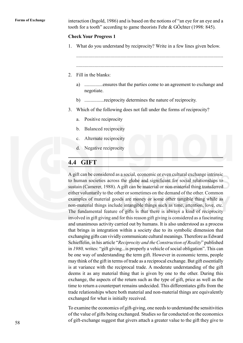Forms of Exchange interaction (Ingold, 1986) and is based on the notions of "an eye for an eye and a tooth for a tooth" according to game theorists Fehr & GÓchter (1998: 845).

#### Check Your Progress 1

1. What do you understand by reciprocity? Write in a few lines given below.

........................................................................................................................

- ........................................................................................................................
- 2. Fill in the blanks:
	- a) ...............ensures that the parties come to an agreement to exchange and negotiate.
	- b) .................reciprocity determines the nature of reciprocity.
- 3. Which of the following does not fall under the forms of reciprocity?
	- a. Positive reciprocity
	- b. Balanced reciprocity
	- c. Alternate reciprocity
	- d. Negative reciprocity

#### 4.4 GIFT

A gift can be considered as a social, economic or even cultural exchange intrinsic to human societies across the globe and significant for social relationships to sustain (Camerer, 1988). A gift can be material or non-material thing transferred either voluntarily to the other or sometimes on the demand of the other. Common examples of material goods are money or some other tangible thing while as non-material things include intangible things such as time, attention, love, etc. The fundamental feature of gifts is that there is always a kind of reciprocity involved in gift giving and for this reason gift giving is considered as a fascinating and unanimous activity carried out by humans. It is also understood as a process that brings in integration within a society due to its symbolic dimension that exchanging gifts can vividly communicate cultural meanings. Therefore as Edward Schieffelin, in his article "*Reciprocity and the Construction of Reality*" published in *1980,* writes: "gift giving...is properly a vehicle of social obligation". This can be one way of understanding the term gift. However in economic terms, people may think of the gift in terms of trade as a reciprocal exchange. But gift essentially is at variance with the reciprocal trade. A moderate understanding of the gift deems it as any material thing that is given by one to the other. During this exchange, the aspects of the return such as the type of gift, price as well as the time to return a counterpart remains undecided. This differentiates gifts from the trade relationships where both material and non-material things are equivalently exchanged for what is initially received.

To examine the economics of gift-giving, one needs to understand the sensitivities of the value of gifts being exchanged. Studies so far conducted on the economics of gift-exchange suggest that givers attach a greater value to the gift they give to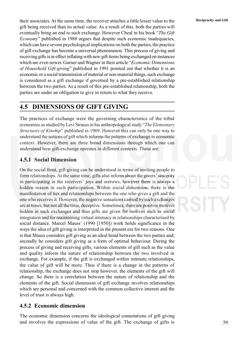their associates. At the same time, the receiver attaches a little lesser value to the Reciprocity and Gift gift being received than its actual value. As a result of this, both the parties will eventually bring an end to such exchange. However Cheal in his book "*The Gift Economy*" published in 1988 argues that despite such economic inadequacies, which can have severe psychological implications on both the parties, the practice of gift exchange has become a universal phenomenon. This process of giving and receiving gifts is in effect inflating with new gift items being exchanged on instances which are even newer. Garner and Wagner in their article "*Economic Dimensions of Household Gift-giving*" published in 1991 pointed out that whether it is an economic or a social transmission of material or non-material things, such exchange is considered as a gift exchange if governed by a pre-established relationship between the two parties. As a result of this pre-established relationship, both the parties are under an obligation to give in return to what they receive.

# 4.5 DIMENSIONS OF GIFT GIVING

The practices of exchange were the governing characteristics of the tribal economies as studied by Levi Strauss in his anthropological study "*The Elementary Structures of Kinship*" published in 1969. However this can only be one way to understand the notions of gift which informs the patterns of exchange in economic context. However, there are three broad dimensions through which one can understand how gift-exchange operates in different contexts. These are:

# 4.5.1 Social Dimension

On the social front, gift giving can be understood in terms of inviting people to form relationships. At the same time, gifts also inform about the givers' sincerity in participating in the receivers' joys and sorrows, however there is always a hidden reason in such participation. Within social dimension, there is the manifestation of ties and relationships between the one who gives a gift and the one who receives it. However, the negative sensations carried by such exchanges are at times, but not all the time, deceptive. Sometimes, there are positive motives hidden in such exchanges and thus gifts are given for motives such as social integration and for maintaining virtual intimacy in relationships characterised by social distance. Marcel Mauss' (1990 [1950]) work holds significance in the ways the idea of gift giving is interpreted in the present era for two reasons. One is that Mauss considers gift giving as an ideal bond between the two parties and; secondly he considers gift giving as a form of optimal behaviour. During the process of giving and receiving gifts, various elements of gift such as the value and quality inform the nature of relationship between the two involved in exchange. For example, if the gift is exchanged within intimate relationships, the value of gift will be more. Thus if there is a change in the patterns of relationship, the exchange does not stop however, the elements of the gift will change. So there is a correlation between the nature of relationship and the elements of the gift. Social dimension of gift exchange involves relationships which are personal and concerned with the common collective interest and the level of trust is always high.

# 4.5.2 Economic dimension

The economic dimension concerns the ideological connotations of gift giving and involves the expressions of value of the gift. The exchange of gifts is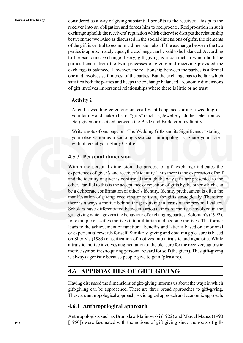Forms of Exchange considered as a way of giving substantial benefits to the receiver. This puts the receiver into an obligation and forces him to reciprocate. Reciprocation in such exchange upholds the receivers' reputation which otherwise disrupts the relationship between the two. Also as discussed in the social dimensions of gifts, the elements of the gift is central to economic dimension also. If the exchange between the two parties is approximately equal, the exchange can be said to be balanced. According to the economic exchange theory, gift giving is a contract in which both the parties benefit from the twin processes of giving and receiving provided the exchange is balanced. However, the relationship between the parties is a formal one and involves self interest of the parties. But the exchange has to be fair which satisfies both the parties and keeps the exchange balanced. Economic dimensions of gift involves impersonal relationships where there is little or no trust.

#### Activity 2

Attend a wedding ceremony or recall what happened during a wedding in your family and make a list of "gifts" (such as; Jewellery, clothes, electronics etc.) given or received between the Bride and Bride grooms family.

Write a note of one page on "The Wedding Gifts and its Significance" stating your observation as a sociologists/social anthropologists. Share your note with others at your Study Centre.

#### 4.5.3 Personal dimension

Within the personal dimension, the process of gift exchange indicates the experiences of giver's and receiver's identity. Thus there is the expression of self and the identity of giver is confirmed through the way gifts are presented to the other. Parallel to this is the acceptance or rejection of gifts by the other which can be a deliberate confirmation of other's identity. Identity predicament is often the manifestation of giving, receiving or refusing the gifts strategically. Therefore there is always a motive behind the gift-giving in terms of the personal values. Scholars have differentiated between various kinds of motives involved in the gift-giving which govern the behaviour of exchanging parties. Soloman's(1992), for example classifies motives into utilitarian and hedonic motives. The former leads to the achievement of functional benefits and latter is based on emotional or experiential rewards for self. Similarly, giving and obtaining pleasure is based on Sherry's (1983) classification of motives into altruistic and agnoistic. While altruistic motive involves augmentation of the pleasure for the receiver, agnoistic motive symbolizes acquiring personal reward for self (the giver). Thus gift-giving is always agonistic because people give to gain (pleasure).

# 4.6 APPROACHES OF GIFT GIVING

Having discussed the dimensions of gift-giving informs us about the ways in which gift-giving can be approached. There are three broad approaches to gift-giving. These are anthropological approach, sociological approach and economic approach.

#### 4.6.1 Anthropological approach

Anthropologists such as Bronislaw Malinowski (1922) and Marcel Mauss (1990 [1950]) were fascinated with the notions of gift giving since the roots of gift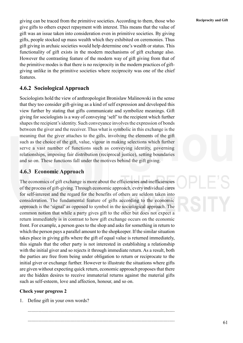giving can be traced from the primitive societies. According to them, those who Reciprocity and Gift give gifts to others expect repayment with interest. This means that the value of gift was an issue taken into consideration even in primitive societies. By giving gifts, people stocked up mass wealth which they exhibited on ceremonies. Thus gift giving in archaic societies would help determine one's wealth or status. This functionality of gift exists in the modern mechanisms of gift exchange also. However the contrasting feature of the modern way of gift giving from that of the primitive modes is that there is no reciprocity in the modern practices of giftgiving unlike in the primitive societies where reciprocity was one of the chief features.

#### 4.6.2 Sociological Approach

Sociologists hold the view of anthropologist Bronislaw Malinowski in the sense that they too consider gift-giving as a kind of self expression and developed this view further by stating that gifts communicate and symbolize meanings. Gift giving for sociologists is a way of conveying 'self' to the recipient which further shapes the recipient's identity. Such conveyance involves the expression of bonds between the giver and the receiver. Thus what is symbolic in this exchange is the meaning that the giver attaches to the gifts, involving the elements of the gift such as the choice of the gift, value, vigour in making selections which further serve a vast number of functions such as conveying identity, governing relationships, imposing fair distribution (reciprocal justice), setting boundaries and so on. These functions fall under the motives behind the gift giving.

#### 4.6.3 Economic Approach

The economics of gift exchange is more about the efficiencies and inefficiencies of the process of gift-giving. Through economic approach, every individual cares for self-interest and the regard for the benefits of others are seldom taken into consideration. The fundamental feature of gifts according to the economic approach is the 'signal' as opposed to symbol in the sociological approach. The common notion that while a party gives gift to the other but does not expect a return immediately is in contrast to how gift exchange occurs on the economic front. For example, a person goes to the shop and asks for something in return to which the person pays a parallel amount to the shopkeeper. If the similar situation takes place in giving gifts where the gift of equal value is returned immediately, this signals that the other party is not interested in establishing a relationship with the initial giver and so rejects it through immediate return. As a result, both the parties are free from being under obligation to return or reciprocate to the initial giver or exchange further. However to illustrate the situations where gifts are given without expecting quick return, economic approach proposes that there are the hidden desires to receive immaterial returns against the material gifts such as self-esteem, love and affection, honour, and so on.

........................................................................................................................

........................................................................................................................

#### Check your progress 2

1. Define gift in your own words?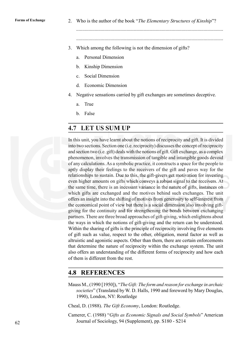........................................................................................................................

........................................................................................................................

- 3. Which among the following is not the dimension of gifts?
	- a. Personal Dimension
	- b. Kinship Dimension
	- c. Social Dimension
	- d. Economic Dimension
- 4. Negative sensations carried by gift exchanges are sometimes deceptive.
	- a. True
	- b. False

#### 4.7 LET US SUM UP

In this unit, you have learnt about the notions of reciprocity and gift. It is divided into two sections. Section one (i.e. reciprocity) discusses the concept of reciprocity and section two (i.e. gift) deals with the notions of gift. Gift exchange, as a complex phenomenon, involves the transmission of tangible and intangible goods devoid of any calculations. As a symbolic practice, it constructs a space for the people to aptly display their feelings to the receivers of the gift and paves way for the relationships to sustain. Due to this, the gift-givers get motivation for investing even higher amounts on gifts which conveys a robust signal to the receivers. At the same time, there is an incessant variance in the nature of gifts, instances on which gifts are exchanged and the motives behind such exchanges. The unit offers an insight into the shifting of motives from generosity to self-interest from the economical point of view but there is a social dimension also involving giftgiving for the continuity and for strengthening the bonds between exchanging partners. There are three broad approaches of gift-giving, which enlightens about the ways in which the notions of gift-giving and the return can be understood. Within the sharing of gifts is the principle of reciprocity involving five elements of gift such as value, respect to the other, obligation, moral factor as well as altruistic and agonistic aspects. Other than them, there are certain enforcements that determine the nature of reciprocity within the exchange system. The unit also offers an understanding of the different forms of reciprocity and how each of them is different from the rest.

#### 4.8 REFERENCES

- Mauss M., (1990 [1950]), "*The Gift: The form and reason for exchange in archaic societies*" (Translated by W. D. Halls, 1990 and foreword by Mary Douglas, 1990), London, NY: Routledge
- Cheal, D. (1988). *The Gift Economy*, London: Routledge.
- Camerer, C. (1988) "*Gifts as Economic Signals and Social Symbols*" American Journal of Sociology, 94 (Supplement), pp. S180 - S214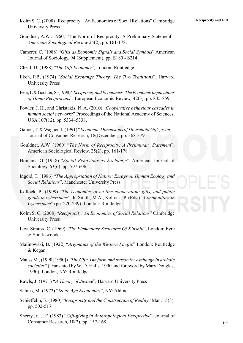- Kolm S. C. (2008) "Reciprocity: "An Economics of Social Relations" Cambridge Reciprocity and Gift University Press
- Gouldner, A.W.: 1960, "The Norm of Reciprocity: A Preliminary Statement", *American Sociological Review* 25(2), pp. 161-178.
- Camerer, C. (1988) "*Gifts as Economic Signals and Social Symbols*" American Journal of Sociology, 94 (Supplement), pp. S180 - S214
- Cheal, D. (1988) "*The Gift Economy*", London: Routledge.
- Ekeh, P.P., (1974) "*Social Exchange Theory: The Two Traditions*", Harvard University Press
- Fehr, E & Gächter, S. (1998) "*Reciprocity and Economics: The Economic Implications of Homo Reciprocans*", European Economic Review*,* 42(3), pp. 845-859
- Fowler, J. H., and Christakis, N. A. (2010) "*Cooperative behaviour cascades in human social networks*" Proceedings of the National Academy of Sciences, USA 107(12), pp. 5334–5338.
- Garner, T. & Wagner, J. (1991) "*Economic Dimensions of Household Gift-giving*", Journal of Consumer Research, 18(December), pp. 368-379
- Gouldner, A.W. (1960) "*The Norm of Reciprocity: A Preliminary Statement*", American Sociological Review, 25(2), pp. 161-178
- Homans, G. (1958) "*Social Behaviour as Exchange*", American Journal of Sociology, 63(6), pp. 597-606
- Ingold, T. (1986) "*The Appropriation of Nature: Essays on Human Ecology and Social Relations*", Manchester University Press
- Kollock, P., (1999) "*The economies of on-line cooperation: gifts, and public goods in cyberspace*", In Smith, M.A., Kollock, P. (Eds.) "*Communities in Cyberspace*" (pp. 220-239), London: Routledge
- Kolm S. C. (2008) "*Reciprocity: An Economics of Social Relations*" Cambridge University Press
- Levi-Strauss, C. (1969) "*The Elementary Structures Of Kinship*", London: Eyre & Spottiswoode
- Malinowski, B. (1922) "*Argonauts of the Western Pacific*" London: Routledge & Kegan.
- Mauss M., (1990 [1950]) "*The Gift: The form and reason for exchange in archaic societies*" (Translated by W. D. Halls, 1990 and foreword by Mary Douglas, 1990), London, NY: Routledge
- Rawls, J. (1971) "*A Theory of Justice*", Harvard University Press
- Sahins, M. (1972) "*Stone Age Economics*", NY: Aldine
- Schieffelin, E. (1980) "*Reciprocity and the Construction of Reality*" Man, 15(3), pp. 502-517
- Sherry Jr., J. F. (1983) "*Gift-giving in Anthropological Perspective*", Journal of Consumer Research*,* 10(2), pp. 157-168.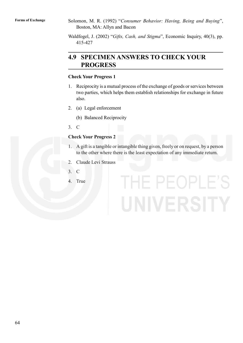- Forms of Exchange Solomon, M. R. (1992) "Consumer Behavior: Having, Being and Buying", Boston, MA: Allyn and Bacon
	- Waldfogel, J. (2002) "*Gifts, Cash, and Stigma*", Economic Inquiry, 40(3), pp. 415-427

# 4.9 SPECIMEN ANSWERS TO CHECK YOUR PROGRESS

#### Check Your Progress 1

- 1. Reciprocity is a mutual process of the exchange of goods or services between two parties, which helps them establish relationships for exchange in future also.
- 2. (a) Legal enforcement
	- (b) Balanced Reciprocity
- 3. C

#### Check Your Progress 2

- 1. A gift is a tangible or intangible thing given, freely or on request, by a person to the other where there is the least expectation of any immediate return.
- 2. Claude Levi Strauss
- 3. C
- 4. True

# THE PEOPLE'S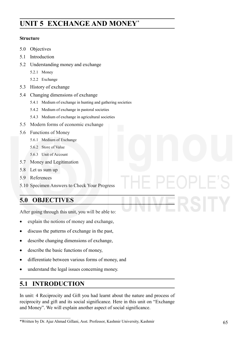# UNIT 5 EXCHANGE AND MONEY\*

#### Structure

- 5.0 Objectives
- 5.1 Introduction
- 5.2 Understanding money and exchange
	- 5.2.1 Money
	- 5.2.2 Exchange
- 5.3 History of exchange
- 5.4 Changing dimensions of exchange
	- 5.4.1 Medium of exchange in hunting and gathering societies
	- 5.4.2 Medium of exchange in pastoral societies
	- 5.4.3 Medium of exchange in agricultural societies
- 5.5 Modern forms of economic exchange
- 5.6 Functions of Money
	- 5.6.1 Medium of Exchange
	- 5.6.2 Store of Value
	- 5.6.3 Unit of Account
- 5.7 Money and Legitimation
- 5.8 Let us sum up
- 5.9 References
- 5.10 Specimen Answers to Check Your Progress

# 5.0 OBJECTIVES

After going through this unit, you will be able to:

- explain the notions of money and exchange,
- discuss the patterns of exchange in the past,
- describe changing dimensions of exchange,
- describe the basic functions of money,
- differentiate between various forms of money, and
- understand the legal issues concerning money.

# 5.1 INTRODUCTION

In unit: 4 Reciprocity and Gift you had learnt about the nature and process of reciprocity and gift and its social significance. Here in this unit on "Exchange and Money". We will explain another aspect of social significance.

<sup>\*</sup>Written by Dr. Ajaz Ahmad Gillani, Asst. Professor, Kashmir University, Kashmir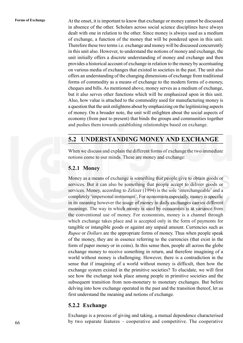Forms of Exchange At the onset, it is important to know that exchange or money cannot be discussed in absence of the other. Scholars across social science disciplines have always dealt with one in relation to the other. Since money is always used as a medium of exchange, a function of the money that will be pondered upon in this unit. Therefore these two terms i.e. exchange and money will be discussed concurrently in this unit also. However, to understand the notions of money and exchange, the unit initially offers a discrete understanding of money and exchange and then provides a historical account of exchange in relation to the money by accentuating on various media of exchanges that existed in societies in the past. The unit also offers an understanding of the changing dimensions of exchange from traditional forms of commodity as a means of exchange to the modern forms of e-money, cheques and bills. As mentioned above, money serves as a medium of exchange, but it also serves other functions which will be emphasized upon in this unit. Also, how value is attached to the commodity used for manufacturing money is a question that the unit enlightens about by emphasizing on the legitimizing aspects of money. On a broader note, the unit will enlighten about the social aspects of economy (from past to present) that binds the groups and communities together and pushes them towards establishing relationships based on exchange.

# 5.2 UNDERSTANDING MONEY AND EXCHANGE

When we discuss and explain the different forms of exchange the two immediate notions come to our minds. These are money and exchange:

#### 5.2.1 Money

Money as a means of exchange is something that people give to obtain goods or services. But it can also be something that people accept to deliver goods or services. Money, according to Zelizer (1994) is the sole 'interchangeable' and a completely 'impersonal instrument'. For economists especially, money is specific in its meaning however the usage of money in daily exchanges carries different meanings. The way in which money is used by economists is at variance from the conventional use of money. For economists, money is a channel through which exchange takes place and is accepted only in the form of payments for tangible or intangible goods or against any unpaid amount. Currencies such as *Rupee* or *Dollars* are the appropriate forms of money. Thus when people speak of the money, they are in essence referring to the currencies (that exist in the form of paper money or in coins). In this sense then, people all across the globe exchange money to receive something in return, and therefore imagining of a world without money is challenging. However, there is a contradiction in the sense that if imagining of a world without money is difficult, then how the exchange system existed in the primitive societies? To elucidate, we will first see how the exchange took place among people in primitive societies and the subsequent transition from non-monetary to monetary exchanges. But before delving into how exchange operated in the past and the transition thereof, let us first understand the meaning and notions of exchange.

#### 5.2.2 Exchange

Exchange is a process of giving and taking, a mutual dependence characterised by two separate features – cooperative and competitive. The cooperative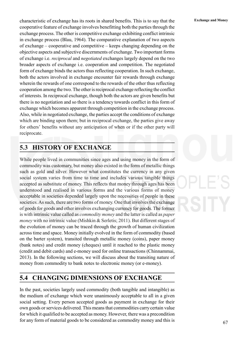Exchange and Money characteristic of exchange has its roots in shared benefits. This is to say that the cooperative feature of exchange involves benefitting both the parties through the exchange process. The other is competitive exchange exhibiting conflict intrinsic in exchange process (Blau, 1964). The comparative explanation of two aspects of exchange – cooperative and competitive – keeps changing depending on the objective aspects and subjective discernments of exchange. Two important forms of exchange i.e. *reciprocal* and *negotiated* exchanges largely depend on the two broader aspects of exchange i.e. cooperation and competition. The negotiated form of exchange binds the actors thus reflecting cooperation. In such exchange, both the actors involved in exchange encounter fair rewards through exchange wherein the rewards of one correspond to the rewards of the other thus reflecting cooperation among the two. The other is reciprocal exchange reflecting the conflict of interests. In reciprocal exchange, though both the actors are given benefits but there is no negotiation and so there is a tendency towards conflict in this form of exchange which becomes apparent through competition in the exchange process. Also, while in negotiated exchange, the parties accept the conditions of exchange which are binding upon them; but in reciprocal exchange, the parties give away for others' benefits without any anticipation of when or if the other party will reciprocate.

# 5.3 HISTORY OF EXCHANGE

While people lived in communities since ages and using money in the form of commodity was customary, but money also existed in the form of metallic things such as gold and silver. However what constitutes the currency in any given social system varies from time to time and includes various tangible things accepted as substitute of money. This reflects that money through ages has been understood and realised in various forms and the various forms of money acceptable in societies depended largely upon the necessities of people in these societies. As such, there are two forms of money. One that involves the exchange of goods for goods and other involves exchanging currency for goods. The former is with intrinsic value called as *commodity money* and the latter is called as *paper money* with no intrinsic value (Mishkin & Serletis; 2011). But different stages of the evolution of money can be traced through the growth of human civilization across time and space. Money initially evolved in the form of commodity (based on the barter system), transited through metallic money (coins), paper money (bank notes) and credit money (cheques) until it reached to the plastic money (credit and debit cards) and e-money used for online transactions (Chinnammai, 2013). In the following sections, we will discuss about the transiting nature of money from commodity to bank notes to electronic money (or e-money).

## 5.4 CHANGING DIMENSIONS OF EXCHANGE

In the past, societies largely used commodity (both tangible and intangible) as the medium of exchange which were unanimously acceptable to all in a given social setting. Every person accepted goods as payment in exchange for their own goods or services delivered. This means that commodities carry certain value for which it qualified to be accepted as money. However, there was a precondition for any form of material goods to be considered as commodity money and this is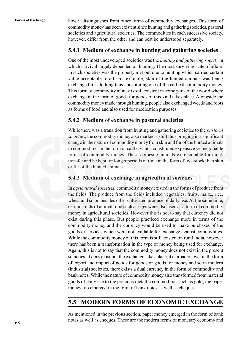Forms of Exchange how it distinguishes from other forms of commodity exchanges. This form of commodity money has been existent since hunting and gathering societies, pastoral societies and agricultural societies. The commodities in each successive society, however, differ from the other and can best be understood separately.

#### 5.4.1 Medium of exchange in hunting and gathering societies

One of the most undeveloped societies was the *hunting and gathering society* in which survival largely depended on hunting. The most surviving state of affairs in such societies was the property met out due to hunting which carried certain value acceptable to all. For example, skin of the hunted animals was being exchanged for clothing thus constituting one of the earliest commodity money. This form of commodity money is still existent in some parts of the world where exchange in the form of goods for goods of this kind takes place. Alongside the commodity money made through hunting, people also exchanged weeds and roots as forms of food and also used for medication purposes.

#### 5.4.2 Medium of exchange in pastoral societies

While there was a transition from hunting and gathering societies to the *pastoral societies*, the commodity money also marked a shift thus bringing in a significant change in the nature of commodity money from skin and fur of the hunted animals to commodities in the form of cattle, which constituted expensive yet negotiable forms of commodity money. These domestic animals were suitable for quick transfer and be kept for longer periods of time in the form of live-stock than skin or fur of the hunted animals.

#### 5.4.3 Medium of exchange in agricultural societies

In *agricultural societies,* commodity money existed in the forms of produce from the fields. The produce from the fields included vegetables, fruits, maize, rice, wheat and so on besides other cultivated produce of daily use. At the same time, certain kinds of animal food such as eggs were also used as a form of commodity money in agricultural societies. However this is not to say that currency did not exist during this phase. But people practiced exchange more in terms of the commodity money and the currency would be used to make purchases of the goods or services which were not available for exchange against commodities. While the commodity money of this form is still existent in rural India, however there has been a transformation in the type of money being used for exchange. Again, this is not to say that the commodity money does not exist in the present societies. It does exist but the exchange takes place at a broader level in the form of export and import of goods for goods or goods for money and so in modern (industrial) societies, there exists a dual currency in the form of commodity and bank notes. While the nature of commodity money also transformed from material goods of daily use to the precious metallic commodities such as gold, the paper money too emerged in the form of bank notes as well as cheques.

# 5.5 MODERN FORMS OF ECONOMIC EXCHANGE

As mentioned in the previous section, paper money emerged in the form of bank notes as well as cheques. These are the modern forms of monetary economy and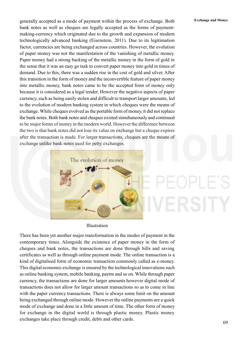$P \vdash$ 

Exchange and Money generally accepted as a mode of payment within the process of exchange. Both bank notes as well as cheques are legally accepted as the forms of paymentmaking-currency which originated due to the growth and expansion of modern technologically advanced banking (Eisenstein, 2011). Due to its legitimation factor, currencies are being exchanged across countries. However, the evolution of paper money was not the manifestation of the vanishing of metallic money. Paper money had a strong backing of the metallic money in the form of gold in the sense that it was an easy go task to convert paper money into gold in times of demand. Due to this, there was a sudden rise in the cost of gold and silver. After this transition in the form of money and the inconvertible feature of paper money into metallic money, bank notes came to be the accepted form of money only because it is considered as a legal tender. However the negative aspects of paper currency, such as being easily stolen and difficult to transport larger amounts, led to the evolution of modern banking system in which cheques were the means of exchange. While cheques evolved as the portable form of money, it did not replace the bank notes. Both bank notes and cheques existed simultaneously and continued to be major forms of money in the modern world. However the difference between the two is that bank notes did not lose its value on exchange but a cheque expires after the transaction is made. For larger transactions, cheques are the means of exchange unlike bank notes used for petty exchanges.



Illustration

There has been yet another major transformation in the modes of payment in the contemporary times. Alongside the existence of paper money in the form of cheques and bank notes, the transactions are done through bills and saving certificates as well as through online payment mode. The online transaction is a kind of digitalised form of economic transaction commonly called as e-money. This digital economic exchange is ensured by the technological innovations such as online banking system, mobile banking, paytm and so on. While through paper currency, the transactions are done for larger amounts however digital mode of transactions does not allow for larger amount transactions so as to come in line with the paper currency transactions. There is always some limit on the amount being exchanged through online mode. However the online payments are a quick mode of exchange and done in a little amount of time. The other form of money for exchange in the digital world is through plastic money. Plastic money exchanges take place through credit, debit and other cards.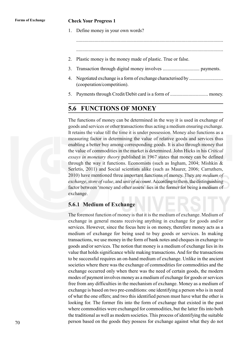#### Forms of Exchange **Check Your Progress 1**

1. Define money in your own words?

........................................................................................................................

........................................................................................................................

- 2. Plastic money is the money made of plastic. True or false.
- 3. Transaction through digital money involves .............................. payments.
- 4. Negotiated exchange is a form of exchange characterised by ............................. (cooperation/competition).
- 5. Payments through Credit/Debit card is a form of ............................... money.

### 5.6 FUNCTIONS OF MONEY

The functions of money can be determined in the way it is used in exchange of goods and services or other transactions thus acting a medium ensuring exchange. It retains the value till the time it is under possession. Money also functions as a measuring factor in determining the value of relative goods and services thus enabling a better buy among corresponding goods. It is also through money that the value of commodities in the market is determined. John Hicks in his *Critical essays in monetary theory* published in 1967 states that money can be defined through the way it functions. Economists (such as Ingham, 2004; Mishkin & Serletis, 2011) and Social scientists alike (such as Maurer, 2006; Carruthers, 2010) have mentioned three important functions of money. They are *medium of exchange*, *store of value*, and *unit of account*. According to them, the distinguishing factor between 'money and other assets' lies in the former for being a medium of exchange.

#### 5.6.1 Medium of Exchange

The foremost function of money is that it is the medium of exchange. Medium of exchange in general means receiving anything in exchange for goods and/or services. However, since the focus here is on money, therefore money acts as a medium of exchange for being used to buy goods or services. In making transactions, we use money in the form of bank notes and cheques in exchange to goods and/or services. The notion that money is a medium of exchange lies in its value that holds significance while making transactions. And for the transactions to be successful requires an on-hand medium of exchange. Unlike in the ancient societies where there was the exchange of commodities for commodities and the exchange occurred only when there was the need of certain goods, the modern modes of payment involves money as a medium of exchange for goods or services free from any difficulties in the mechanism of exchange. Money as a medium of exchange is based on two pre-conditions: one identifying a person who is in need of what the one offers; and two this identified person must have what the other is looking for. The former fits into the form of exchange that existed in the past where commodities were exchanged for commodities, but the latter fits into both the traditional as well as modern societies. This process of identifying the suitable person based on the goods they possess for exchange against what they do not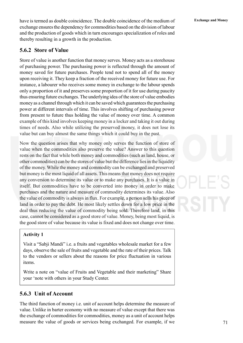have is termed as double coincidence. The double coincidence of the medium of Exchange and Money exchange ensures the dependency for commodities based on the division of labour and the production of goods which in turn encourages specialization of roles and thereby resulting in a growth in the production.

#### 5.6.2 Store of Value

Store of value is another function that money serves. Money acts as a storehouse of purchasing power. The purchasing power is reflected through the amount of money saved for future purchases. People tend not to spend all of the money upon receiving it. They keep a fraction of the received money for future use. For instance, a labourer who receives some money in exchange to the labour spends only a proportion of it and preserves some proportion of it for use during paucity thus ensuring future exchanges. The underlying idea of the store of value embodies money as a channel through which it can be saved which guarantees the purchasing power at different intervals of time. This involves shifting of purchasing power from present to future thus holding the value of money over time. A common example of this kind involves keeping money in a locker and taking it out during times of needs. Also while utilizing the preserved money, it does not lose its value but can buy almost the same things which it could buy in the past.

Now the question arises that why money only serves the function of store of value when the commodities also preserve the value? Answer to this question rests on the fact that while both money and commodities (such as land, house, or other commodities) can be the stores of value but the difference lies in the liquidity of the money. While the money and commodity can be exchanged and preserved but money is the most liquid of all assets. This means that money does not require any conversion to determine its value or to make any purchases. It is a value in itself. But commodities have to be converted into money in order to make purchases and the nature and measure of commodity determines its value. Also the value of commodity is always in flux. For example, a person sells his piece of land in order to pay the debt. He most likely settles down for a low price in the deal thus reducing the value of commodity being sold. Therefore land, in this case, cannot be considered as a good store of value. Money, being most liquid, is the good store of value because its value is fixed and does not change over time.

#### Activity 1

Visit a "Sabji Mandi" i.e. a fruits and vegetables wholesale market for a few days, observe the sale of fruits and vegetable and the rate of their prices. Talk to the vendors or sellers about the reasons for price fluctuation in various items.

Write a note on "value of Fruits and Vegetable and their marketing" Share your 'note with others in your Study Center.

#### 5.6.3 Unit of Account

The third function of money i.e. unit of account helps determine the measure of value. Unlike in barter economy with no measure of value except that there was the exchange of commodities for commodities, money as a unit of account helps measure the value of goods or services being exchanged. For example, if we

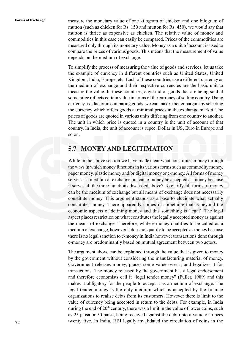Forms of Exchange measure the monetary value of one kilogram of chicken and one kilogram of mutton (such as chicken for Rs. 150 and mutton for Rs. 450), we would say that mutton is thrice as expensive as chicken. The relative value of money and commodities in this case can easily be compared. Prices of the commodities are measured only through its monetary value. Money as a unit of account is used to compare the prices of various goods. This means that the measurement of value depends on the medium of exchange.

> To simplify the process of measuring the value of goods and services, let us take the example of currency in different countries such as United States, United Kingdom, India, Europe, etc. Each of these countries use a different currency as the medium of exchange and their respective currencies are the basic unit to measure the value. In these countries, any kind of goods that are being sold at some price reflects certain value in terms of the currency of selling country. Using currency as a factor in comparing goods, we can make a better bargain by selecting the currency which offers goods at minimal prices in the exchange market. The prices of goods are quoted in various units differing from one country to another. The unit in which price is quoted in a country is the unit of account of that country. In India, the unit of account is rupee, Dollar in US, Euro in Europe and so on.

# 5.7 MONEY AND LEGITIMATION

While in the above section we have made clear what constitutes money through the ways in which money functions in its various forms such as commodity money, paper money, plastic money and/or digital money or e-money. All forms of money serves as a medium of exchange but can e-money be accepted as money because it serves all the three functions discussed above? To clarify, all forms of money can be the medium of exchange but all means of exchange does not necessarily constitute money. This argument stands as a base to elucidate what actually constitutes money. There apparently comes in something that is beyond the economic aspects of defining money and this something is 'legal'. The legal aspect places restriction on what constitutes the legally accepted money as against the means of exchange. Therefore, while e-money qualifies to be called as a medium of exchange, however it does not qualify to be accepted as money because there is no legal sanction to e-money in India however transactions done through e-money are predominantly based on mutual agreement between two actors.

The argument above can be explained through the value that is given to money by the government without considering the manufacturing material of money. Government releases money, places some value over it and legalizes it for transactions. The money released by the government has a legal endorsement and therefore economists call it "legal tender money" (Fuller, 1989) and this makes it obligatory for the people to accept it as a medium of exchange. The legal tender money is the only medium which is accepted by the finance organizations to realise debts from its customers. However there is limit to the value of currency being accepted in return to the debts. For example, in India during the end of  $20<sup>th</sup>$  century, there was a limit in the value of lower coins, such as 25 paisa or 50 paisa, being received against the debt upto a value of rupees twenty five. In India, RBI legally invalidated the circulation of coins in the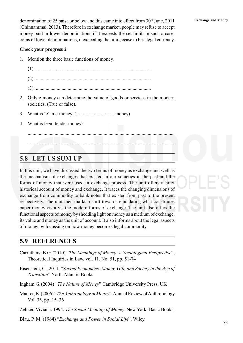denomination of 25 paisa or below and this came into effect from  $30<sup>th</sup>$  June, 2011 Exchange and Money (Chinnammai, 2013). Therefore in exchange market, people may refuse to accept money paid in lower denominations if it exceeds the set limit. In such a case, coins of lower denominations, if exceeding the limit, cease to be a legal currency.

#### Check your progress 2

- 1. Mention the three basic functions of money.
	- (1) .............................................................................................. (2) ..............................................................................................
	- (3) ..............................................................................................
- 2. Only e-money can determine the value of goods or services in the modern societies. (True or false).

........................................................................................................................

........................................................................................................................

- 3. What is 'e' in e-money. (............................... money)
- 4. What is legal tender money?

# 5.8 LET US SUM UP

In this unit, we have discussed the two terms of money as exchange and well as the mechanism of exchanges that existed in our societies in the past and the forms of money that were used in exchange process. The unit offers a brief historical account of money and exchange. It traces the changing dimensions of exchange from commodity to bank notes that existed from past to the present respectively. The unit then marks a shift towards elucidating what constitutes paper money vis-a-vis the modern forms of exchange. The unit also offers the functional aspects of money by shedding light on money as a medium of exchange, its value and money as the unit of account. It also informs about the legal aspects of money by focussing on how money becomes legal commodity.

# 5.9 REFERENCES

- Carruthers, B.G. (2010) "*The Meanings of Money: A Sociological Perspective*", Theoretical Inquiries in Law, vol. 11, No. 51, pp. 51-74
- Eisenstein, C., 2011, "*Sacred Economics: Money, Gift, and Society in the Age of Transition*" North Atlantic Books
- Ingham G. (2004) "*The Nature of Money*" Cambridge University Press, UK
- Maurer, B. (2006) "*The Anthropology of Money*", Annual Review of Anthropology Vol. 35, pp. 15–36
- Zelizer, Viviana. 1994. *The Social Meaning of Money*. New York: Basic Books.

Blau, P. M. (1964) "*Exchange and Power in Social Life*", Wiley